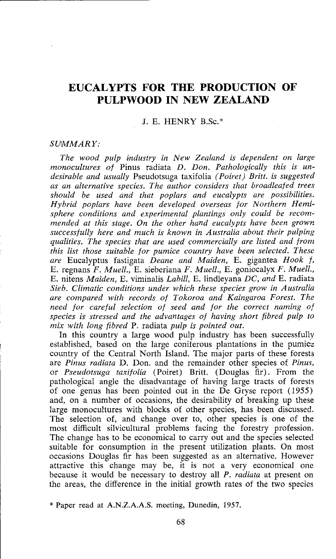# **EUCALYPTS FOR THE PRODUCTION OF PULPWOOD IN NEW ZEALAND**

# **J.** E. HENRY B.Sc.\*

#### *SUMMARY:*

*The wood pulp industry in New Zealand is dependent on large monocultures of* Pinus radiata *D. Don. Pathologically this is undesirable and usually* Pseudotsuga taxifolia *(Poiret) Britt. is suggested as an alternative species. The author considers that broadleafed trees should be used and that poplars and eucalypts are possibilities. Hybrid poplars have been developed overseas for Northern Hemi*sphere conditions and experimental plantings only could be recom*mended at this stage. On the other hand eucalypts have been growr, successfully here and much is known in Australia about their pulping qualities. The species that are used commercially are listed and from this list those suitable for pumice country have been selected. These are* Eucalyptus fastigata *Deane and Maiden,* E. gigantea *Hook f,*  E. regnans *F. Muell.,* E. sieberiana *F. Muell.,* E. goniocalyx *F. Muell.,*  E. nitens *Maiden,* E. viminalis *Labill,* E. lindleyana *DC, and* E. radiatl *Sieb. Climatic conditions under which these species grow in Australia are compared with records of Tokoroa and Kaingaroa Forest. The need for careful selection of seed and for the correct naming of species is stressed and the advantages of having short fibred pulp to mix with long fibred* P. radiata *pulp is pointed out.* 

In this country a large wood pulp industry has been successfully established, based on the large coniferous plantations in the pumicz country of the Central North Island. The major parts of these forests are *Pinus radiata* D. Don. and the remainder other species of *Pinzis.*  or *Pseudotsuga taxifolia* (Poiret) Britt. (Douglas fir). From the pathological angle the disadvantage of having large tracts of forests of one genus has been pointed out in the De Gryse report (1955) and, on a number of occasions, the desirability of breaking up these large monocultures with blocks of other species, has been discussed. The selection of, and change over to, other species is one of the most difficult silvicultural problems facing the forestry profession. The change has to be economical to carry out and the species selected suitable for consumption in the present utilization plants. On most occasions Douglas fir has been suggested as an alternative. However attractive this change may be, it is not a very economical one because it would be necessary to destroy all *P. radiata* at present on the areas, the difference in the initial growth rates of the two species

<sup>\*</sup> Paper read **at** A.N.Z.A.A.S. meeting, Dunedin, 1957.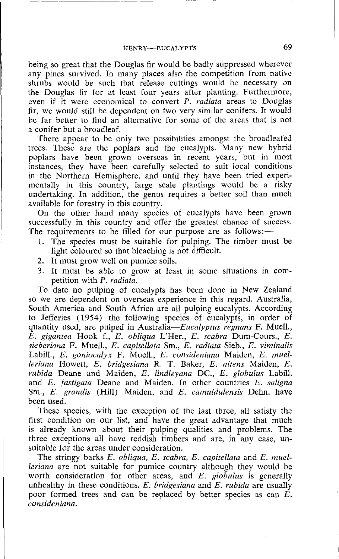being so great that the Douglas fir would be badly suppressed wherever any pines survived. In many places also the competition from native shrubs would be such that release cuttings would be necessary an the Douglas fir for at least four years after planting. Furthermore, even if it were economical to convert  $P$ . *radiata* areas to Douglas fir, we would still be dependent on two very similar conifers. It would be far better to find an alternative for some of the areas that is not a conifer but a broadleaf.

There appear to be oniy two possibilities amongst the broadleafed trees. These are the poplars and the eucalypts. Many new hybrid poplars have been grown overseas in recent years, but in most instances, they have been carefully selected to suit local conditions in the Northern Hemisphere, and until they have been tried experimentally in this country, large scale plantings would be a risky undertaking. In addition, the genus requires a better soil than much available for forestry in this country.

On the other hand many species of eucalypts have been grown successfully in this country and offer the greatest chance of success. The requirements to be filled for our purpose are as follows: $-$ 

- 1. The species must be suitable for pulping. The timber must be light coloured so that bleaching is not difficult.
- 2. It must grow well on pumice soils.
- 3. It must be able to grow at least in some situations in competition with P. radiata.

To date no pulping of eucalypts has been done in New Zealand so we are dependent on overseas experience in this regard. Australia, South America and South Africa are all pulping eucalypts. According to Jefferies (1954) the following species of eucalypts, in order of quantity used, are pulped in Australia-Eucalyptus regnans F. Muell.,  $\hat{E}$ , gigantea Hook f., E. obliqua L'Her., E. scabra Dum-Cours., E. sieberiana F. Muell., E. capitellata Sm., E. radiata Sieb., E. viminalis Labill., E. goniocalyx F. Muell., E. consideniana Maiden, E. muelleriana Howett, E. bridgesiana R. T. Baker, E. nitens Maiden, E. rubida Deane and Maiden, E. lindleyana DC., E. globulus Labill. and E. fastigata Deane and Maiden. In other countries E. saligna Sm., E. grandis (Hill) Maiden, and E. camuldulensis Dehn. have been used.

These species, with the exception of the last three, all satisfy the first condition on our list, and have the great advantage that much is already known about their pulping qualities and problems. The three exceptions all have reddish timbers and are, in any case, unsuitable for the areas under consideration.

The stringy barks E. obliqua, E. scabra, E. capitellata and E. muelleriana are not suitable for pumice country although they would be worth consideration for other areas, and  $E$ . globulus is generally unhealthy in these conditions. E. bridgesiana and  $E$ . rubida are usually poor formed trees and can be replaced by better species as can E. consideniana.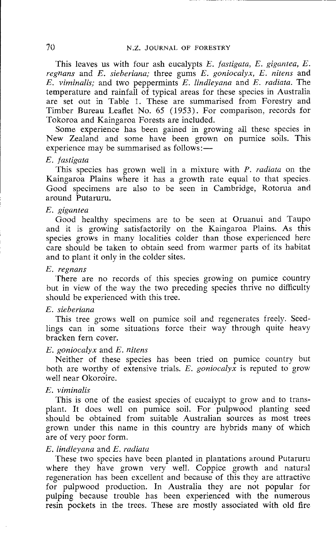This leaves us with four ash eucalypts E. *fastigata,* E. *gigantea, E. regnans* and *E. sieberiana;* three gums *E. goniocalyx,* E. *nitens* and *E. viminalis;* and two peppermints E. *lindleyana* and *E. radiata.* The temperature and rainfall of typical areas for these species in Australia are set out in Table 1. These are summarised from Forestry and Timber Bureau Leaflet No. 65 (1953). For comparison, records for Tokoroa and Kaingaroa Forests are included.

Some experience has been gained in growing all these species in New Zealand and some have been grown on pumice soils. This experience may be summarised as follows:—

#### E. *fastigata*

This species has grown well in a mixture with **P.** *radiata* on the Kaingaroa Plains where it has a growth rate equal to that species Good specimens are also to be seen in Cambridge, Rotorua and around Putaruru.

## *E. gigantea*

Good healthy specimens are to be seen at Oruanui and Taupo and it is growing satisfactorily on the Kaingaroa Plains. As this species grows in many localities colder than those experienced here care should be taken to obtain seed from warmer parts of its habitat and to plant it only in the colder sites.

### *E. vegnans*

There are no records of this species growing on pumice country but in view of the way the two preceding species thrive no difficulty should be experienced with this tree.

# *E. sieberiana*

This tree grows well on pumice soil and regenerates freely. Seedlings can in some situations force their way through quite heavy bracken fern cover.

#### *E. goniocalyx* and *E. nitens*

Neither of these species has been tried on pumice country but both are worthy of extensive trials. E. *goniocalyx* is reputed to grow well near Okoroire.

### *E. viminalis*

This is one of the easiest species of eucalypt to grow and to transplant. It does well on pumice soil. For pulpwood planting seed should be obtained from suitable Australian sources as most trees grown under this name in this country are hybrids many of which are of very poor form.

#### *E. lfndleyaria* and *E. mdiutu*

These two species have been planted in plantations around Putaruru where they have grown very well. Coppice growth and natural regeneration has been excellent and because of this they are attractive for pulpwood production. In Australia they are not popular for pulping because trouble has been experienced with the numerous resin pockets in the trees. These are mostly associated with old fire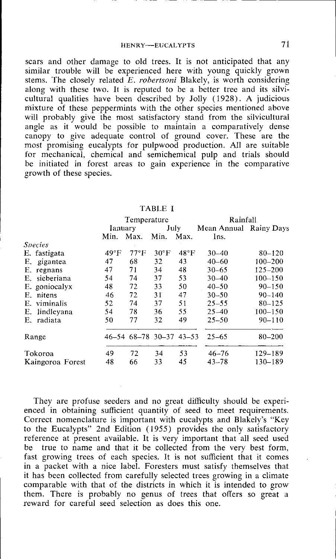scars and other damage to old trees. It is not anticipated that any similar trouble will be experienced here with young quickly grown stems. The closely related E. *robertsoni* Blakely, is worth considering along with these two. It is reputed to be a better tree and its silvicultural qualities have been described by Jolly (1928). A judicious mixture of these peppermints with the other species mentioned above will probably give the most satisfactory stand from the silvicultural angle as it would be possible to maintain a comparatively dense canopy to give adequate control of ground cover. These are the most promising eucalypts for pulpwood production. All are suitable for mechanical, chemical and semichemical pulp and trials should be initiated in forest areas to gain experience in the comparative growth of these species.

|                | Temperature   |                |                |           |                                                           |
|----------------|---------------|----------------|----------------|-----------|-----------------------------------------------------------|
|                |               |                | Rainfall       |           |                                                           |
| Ianuarv        |               | July           |                |           |                                                           |
| Min.           | Max.          | Min.           | Max.           | Ins.      |                                                           |
|                |               |                |                |           |                                                           |
| $49^{\circ}$ F | $77^{\circ}F$ | $30^{\circ}$ F | $48^{\circ}$ F | $30 - 40$ | $80 - 120$                                                |
| 47             | 68            | 32             | 43             | $40 - 60$ | $100 - 200$                                               |
| 47             | 71            | 34             | 48             | $30 - 65$ | $125 - 200$                                               |
| 54             | 74            | 37             | 53             | $30 - 40$ | $100 - 150$                                               |
| 48             | 72            | 33             | 50             | $40 - 50$ | $90 - 150$                                                |
| 46             | 72            | 31             | 47             | $30 - 50$ | $90 - 140$                                                |
| 52             | 74            | 37             | 51             | $25 - 55$ | $80 - 125$                                                |
| 54             | 78            | 36             | 55             | $25 - 40$ | $100 - 150$                                               |
| 50             | 77            | 32             | 49             | $25 - 50$ | $90 - 110$                                                |
|                |               |                |                | $25 - 65$ | 80-200                                                    |
| 49             | 72            | 34             | 53             | $46 - 76$ | 129-189                                                   |
| 48             | 66            | 33             | 45             | $43 - 78$ | 130-189                                                   |
|                |               |                |                |           | Mean Annual Rainy Days<br>$46-54$ $68-78$ $30-37$ $43-53$ |

TABLE **I** 

They are profuse seeders and no great difficulty should be experienced in obtaining sufficient quantity of seed to meet requirements. Correct nomenclature is important with eucalypts and Blakely's "Key to the Eucalypts" 2nd Edition (1955) provides the only satisfactory reference at present available. It is very important that all seed used be true to name and that it be collected from the very best form, fast growing trees of each species. It is not sufficient that it comes in a packet with a nice label. Foresters must satisfy themselves that it has been collected from carefully selected trees growing in a climate comparable with that of the districts in which it is intended to grow them. There is probably no genus of trees that offers so great a reward for careful seed selection as does this one.